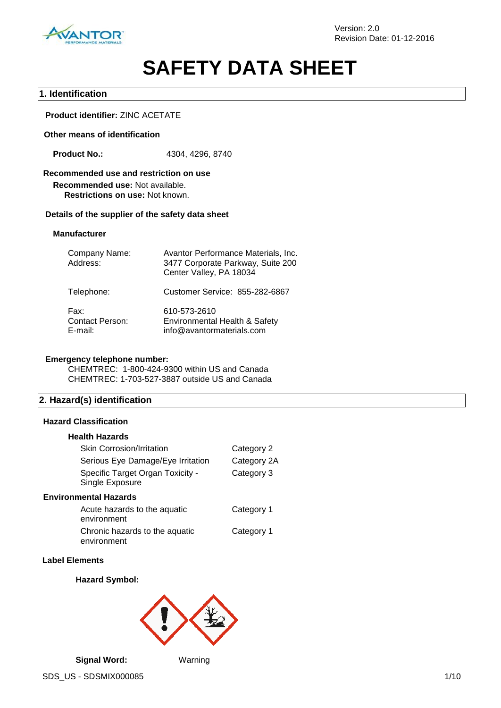

# **SAFETY DATA SHEET**

# **1. Identification**

**Product identifier:** ZINC ACETATE

#### **Other means of identification**

**Product No.:** 4304, 4296, 8740

# **Recommended use and restriction on use**

**Recommended use:** Not available. **Restrictions on use:** Not known.

#### **Details of the supplier of the safety data sheet**

#### **Manufacturer**

| Company Name:<br>Address:                 | Avantor Performance Materials, Inc.<br>3477 Corporate Parkway, Suite 200<br>Center Valley, PA 18034 |
|-------------------------------------------|-----------------------------------------------------------------------------------------------------|
| Telephone:                                | Customer Service: 855-282-6867                                                                      |
| Fax:<br><b>Contact Person:</b><br>E-mail: | 610-573-2610<br>Environmental Health & Safety<br>info@avantormaterials.com                          |

# **Emergency telephone number:**

CHEMTREC: 1-800-424-9300 within US and Canada CHEMTREC: 1-703-527-3887 outside US and Canada

# **2. Hazard(s) identification**

#### **Hazard Classification**

#### **Health Hazards**

| <b>Skin Corrosion/Irritation</b>                    | Category 2  |
|-----------------------------------------------------|-------------|
| Serious Eye Damage/Eye Irritation                   | Category 2A |
| Specific Target Organ Toxicity -<br>Single Exposure | Category 3  |
| <b>Environmental Hazards</b>                        |             |
| Acute hazards to the aquatic<br>environment         | Category 1  |
| Chronic hazards to the aquatic<br>environment       | Category 1  |

#### **Label Elements**

## **Hazard Symbol:**

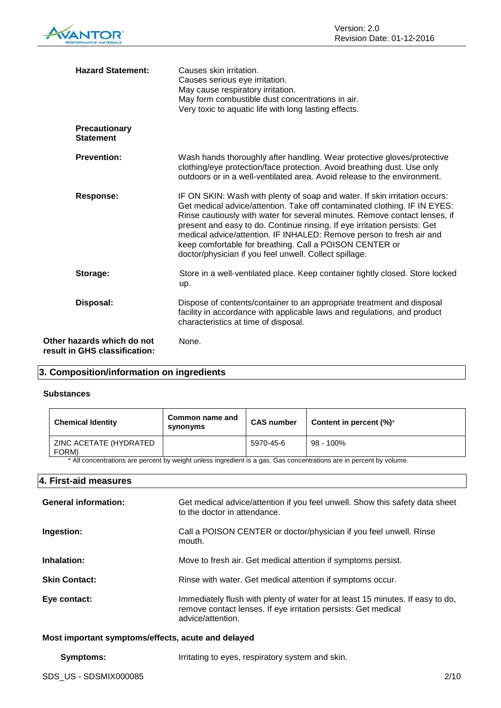

| <b>Hazard Statement:</b>                                    | Causes skin irritation.<br>Causes serious eye irritation.<br>May cause respiratory irritation.<br>May form combustible dust concentrations in air.<br>Very toxic to aquatic life with long lasting effects.                                                                                                                                                                                                                                                                                                     |
|-------------------------------------------------------------|-----------------------------------------------------------------------------------------------------------------------------------------------------------------------------------------------------------------------------------------------------------------------------------------------------------------------------------------------------------------------------------------------------------------------------------------------------------------------------------------------------------------|
| <b>Precautionary</b><br><b>Statement</b>                    |                                                                                                                                                                                                                                                                                                                                                                                                                                                                                                                 |
| <b>Prevention:</b>                                          | Wash hands thoroughly after handling. Wear protective gloves/protective<br>clothing/eye protection/face protection. Avoid breathing dust. Use only<br>outdoors or in a well-ventilated area. Avoid release to the environment.                                                                                                                                                                                                                                                                                  |
| <b>Response:</b>                                            | IF ON SKIN: Wash with plenty of soap and water. If skin irritation occurs:<br>Get medical advice/attention. Take off contaminated clothing. IF IN EYES:<br>Rinse cautiously with water for several minutes. Remove contact lenses, if<br>present and easy to do. Continue rinsing. If eye irritation persists: Get<br>medical advice/attention. IF INHALED: Remove person to fresh air and<br>keep comfortable for breathing. Call a POISON CENTER or<br>doctor/physician if you feel unwell. Collect spillage. |
| Storage:                                                    | Store in a well-ventilated place. Keep container tightly closed. Store locked<br>up.                                                                                                                                                                                                                                                                                                                                                                                                                            |
| Disposal:                                                   | Dispose of contents/container to an appropriate treatment and disposal<br>facility in accordance with applicable laws and regulations, and product<br>characteristics at time of disposal.                                                                                                                                                                                                                                                                                                                      |
| Other hazards which do not<br>result in GHS classification: | None.                                                                                                                                                                                                                                                                                                                                                                                                                                                                                                           |

# **3. Composition/information on ingredients**

# **Substances**

| <b>Chemical Identity</b>        | Common name and<br>synonyms | <b>CAS number</b> | Content in percent $(\%)^*$ |
|---------------------------------|-----------------------------|-------------------|-----------------------------|
| ZINC ACETATE (HYDRATED<br>FORM) |                             | 5970-45-6         | 98 - 100%                   |

All concentrations are percent by weight unless ingredient is a gas. Gas concentrations are in percent by volume.

# **4. First-aid measures**

| <b>General information:</b> | Get medical advice/attention if you feel unwell. Show this safety data sheet<br>to the doctor in attendance.                                                          |
|-----------------------------|-----------------------------------------------------------------------------------------------------------------------------------------------------------------------|
| Ingestion:                  | Call a POISON CENTER or doctor/physician if you feel unwell. Rinse<br>mouth.                                                                                          |
| Inhalation:                 | Move to fresh air. Get medical attention if symptoms persist.                                                                                                         |
| <b>Skin Contact:</b>        | Rinse with water. Get medical attention if symptoms occur.                                                                                                            |
| Eye contact:                | Immediately flush with plenty of water for at least 15 minutes. If easy to do,<br>remove contact lenses. If eye irritation persists: Get medical<br>advice/attention. |

# **Most important symptoms/effects, acute and delayed**

#### **Symptoms:** Irritating to eyes, respiratory system and skin.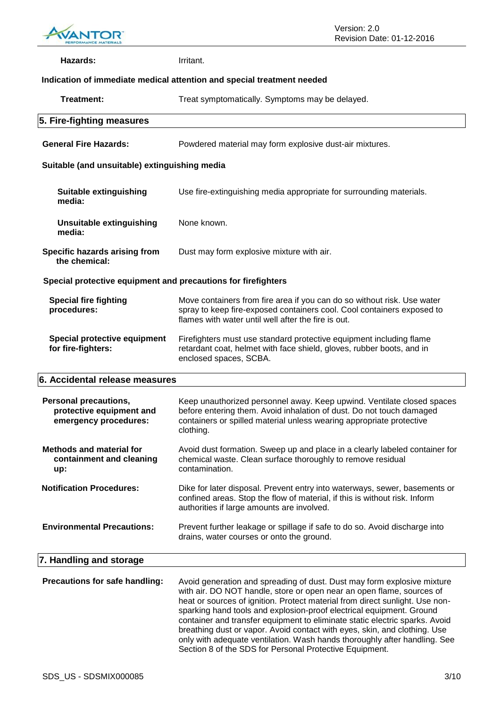

| Hazards:                                                                          | Irritant.                                                                                                                                                                                                                                                                                                                                                                               |  |  |
|-----------------------------------------------------------------------------------|-----------------------------------------------------------------------------------------------------------------------------------------------------------------------------------------------------------------------------------------------------------------------------------------------------------------------------------------------------------------------------------------|--|--|
| Indication of immediate medical attention and special treatment needed            |                                                                                                                                                                                                                                                                                                                                                                                         |  |  |
| Treatment:                                                                        | Treat symptomatically. Symptoms may be delayed.                                                                                                                                                                                                                                                                                                                                         |  |  |
| 5. Fire-fighting measures                                                         |                                                                                                                                                                                                                                                                                                                                                                                         |  |  |
| <b>General Fire Hazards:</b>                                                      | Powdered material may form explosive dust-air mixtures.                                                                                                                                                                                                                                                                                                                                 |  |  |
| Suitable (and unsuitable) extinguishing media                                     |                                                                                                                                                                                                                                                                                                                                                                                         |  |  |
| <b>Suitable extinguishing</b><br>media:                                           | Use fire-extinguishing media appropriate for surrounding materials.                                                                                                                                                                                                                                                                                                                     |  |  |
| <b>Unsuitable extinguishing</b><br>media:                                         | None known.                                                                                                                                                                                                                                                                                                                                                                             |  |  |
| Specific hazards arising from<br>the chemical:                                    | Dust may form explosive mixture with air.                                                                                                                                                                                                                                                                                                                                               |  |  |
| Special protective equipment and precautions for firefighters                     |                                                                                                                                                                                                                                                                                                                                                                                         |  |  |
| <b>Special fire fighting</b><br>procedures:                                       | Move containers from fire area if you can do so without risk. Use water<br>spray to keep fire-exposed containers cool. Cool containers exposed to<br>flames with water until well after the fire is out.                                                                                                                                                                                |  |  |
| <b>Special protective equipment</b><br>for fire-fighters:                         | Firefighters must use standard protective equipment including flame<br>retardant coat, helmet with face shield, gloves, rubber boots, and in<br>enclosed spaces, SCBA.                                                                                                                                                                                                                  |  |  |
| 6. Accidental release measures                                                    |                                                                                                                                                                                                                                                                                                                                                                                         |  |  |
| <b>Personal precautions,</b><br>protective equipment and<br>emergency procedures: | Keep unauthorized personnel away. Keep upwind. Ventilate closed spaces<br>before entering them. Avoid inhalation of dust. Do not touch damaged<br>containers or spilled material unless wearing appropriate protective<br>clothing.                                                                                                                                                     |  |  |
| <b>Methods and material for</b><br>containment and cleaning<br>up:                | Avoid dust formation. Sweep up and place in a clearly labeled container for<br>chemical waste. Clean surface thoroughly to remove residual<br>contamination.                                                                                                                                                                                                                            |  |  |
| <b>Notification Procedures:</b>                                                   | Dike for later disposal. Prevent entry into waterways, sewer, basements or<br>confined areas. Stop the flow of material, if this is without risk. Inform<br>authorities if large amounts are involved.                                                                                                                                                                                  |  |  |
| <b>Environmental Precautions:</b>                                                 | Prevent further leakage or spillage if safe to do so. Avoid discharge into<br>drains, water courses or onto the ground.                                                                                                                                                                                                                                                                 |  |  |
| 7. Handling and storage                                                           |                                                                                                                                                                                                                                                                                                                                                                                         |  |  |
| Precautions for safe handling:                                                    | Avoid generation and spreading of dust. Dust may form explosive mixture<br>with air. DO NOT handle, store or open near an open flame, sources of<br>heat or sources of ignition. Protect material from direct sunlight. Use non-<br>sparking hand tools and explosion-proof electrical equipment. Ground<br>container and transfer equipment to eliminate static electric sparks. Avoid |  |  |

breathing dust or vapor. Avoid contact with eyes, skin, and clothing. Use only with adequate ventilation. Wash hands thoroughly after handling. See

Section 8 of the SDS for Personal Protective Equipment.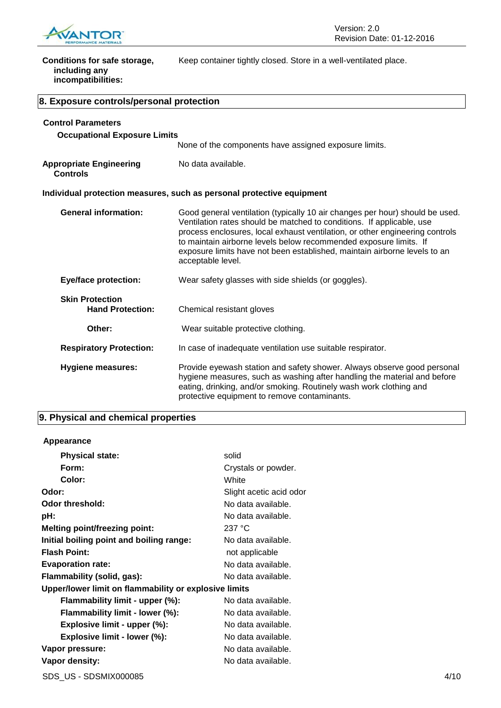

| Conditions for safe storage,<br>including any<br>incompatibilities: | Keep container tightly closed. Store in a well-ventilated place.                                                                                                                                                                                                                                                                                                                                             |  |
|---------------------------------------------------------------------|--------------------------------------------------------------------------------------------------------------------------------------------------------------------------------------------------------------------------------------------------------------------------------------------------------------------------------------------------------------------------------------------------------------|--|
| 8. Exposure controls/personal protection                            |                                                                                                                                                                                                                                                                                                                                                                                                              |  |
| <b>Control Parameters</b>                                           |                                                                                                                                                                                                                                                                                                                                                                                                              |  |
| <b>Occupational Exposure Limits</b>                                 |                                                                                                                                                                                                                                                                                                                                                                                                              |  |
|                                                                     | None of the components have assigned exposure limits.                                                                                                                                                                                                                                                                                                                                                        |  |
| <b>Appropriate Engineering</b><br><b>Controls</b>                   | No data available.                                                                                                                                                                                                                                                                                                                                                                                           |  |
|                                                                     | Individual protection measures, such as personal protective equipment                                                                                                                                                                                                                                                                                                                                        |  |
| <b>General information:</b>                                         | Good general ventilation (typically 10 air changes per hour) should be used.<br>Ventilation rates should be matched to conditions. If applicable, use<br>process enclosures, local exhaust ventilation, or other engineering controls<br>to maintain airborne levels below recommended exposure limits. If<br>exposure limits have not been established, maintain airborne levels to an<br>acceptable level. |  |
| <b>Eye/face protection:</b>                                         | Wear safety glasses with side shields (or goggles).                                                                                                                                                                                                                                                                                                                                                          |  |
| <b>Skin Protection</b><br><b>Hand Protection:</b>                   | Chemical resistant gloves                                                                                                                                                                                                                                                                                                                                                                                    |  |
| Other:                                                              | Wear suitable protective clothing.                                                                                                                                                                                                                                                                                                                                                                           |  |
| <b>Respiratory Protection:</b>                                      | In case of inadequate ventilation use suitable respirator.                                                                                                                                                                                                                                                                                                                                                   |  |
| <b>Hygiene measures:</b>                                            | Provide eyewash station and safety shower. Always observe good personal<br>hygiene measures, such as washing after handling the material and before<br>eating, drinking, and/or smoking. Routinely wash work clothing and<br>protective equipment to remove contaminants.                                                                                                                                    |  |

# **9. Physical and chemical properties**

# **Appearance**

| <b>Physical state:</b>                                | solid                   |      |
|-------------------------------------------------------|-------------------------|------|
| Form:                                                 | Crystals or powder.     |      |
| Color:                                                | White                   |      |
| Odor:                                                 | Slight acetic acid odor |      |
| <b>Odor threshold:</b>                                | No data available.      |      |
| pH:                                                   | No data available.      |      |
| <b>Melting point/freezing point:</b>                  | 237 °C                  |      |
| Initial boiling point and boiling range:              | No data available.      |      |
| <b>Flash Point:</b>                                   | not applicable          |      |
| <b>Evaporation rate:</b>                              | No data available.      |      |
| Flammability (solid, gas):                            | No data available.      |      |
| Upper/lower limit on flammability or explosive limits |                         |      |
| Flammability limit - upper (%):                       | No data available.      |      |
| Flammability limit - lower (%):                       | No data available.      |      |
| Explosive limit - upper (%):                          | No data available.      |      |
| Explosive limit - lower (%):                          | No data available.      |      |
| Vapor pressure:                                       | No data available.      |      |
| Vapor density:                                        | No data available.      |      |
| SDS US - SDSMIX000085                                 |                         | 4/10 |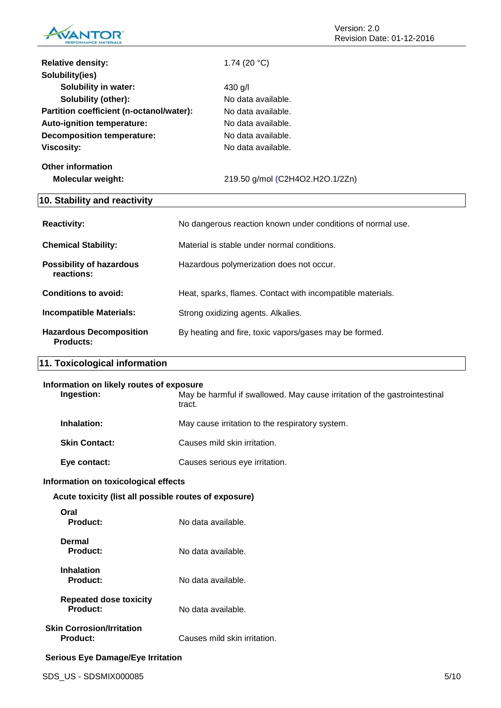

| <b>Relative density:</b>                 | 1.74 $(20 °C)$                  |
|------------------------------------------|---------------------------------|
| Solubility(ies)                          |                                 |
| <b>Solubility in water:</b>              | 430 g/l                         |
| Solubility (other):                      | No data available.              |
| Partition coefficient (n-octanol/water): | No data available.              |
| Auto-ignition temperature:               | No data available.              |
| Decomposition temperature:               | No data available.              |
| <b>Viscosity:</b>                        | No data available.              |
| Other information                        |                                 |
| <b>Molecular weight:</b>                 | 219.50 g/mol (C2H4O2.H2O.1/2Zn) |
| 10. Stability and reactivity             |                                 |

| <b>Reactivity:</b>                                 | No dangerous reaction known under conditions of normal use. |
|----------------------------------------------------|-------------------------------------------------------------|
| <b>Chemical Stability:</b>                         | Material is stable under normal conditions.                 |
| <b>Possibility of hazardous</b><br>reactions:      | Hazardous polymerization does not occur.                    |
| <b>Conditions to avoid:</b>                        | Heat, sparks, flames. Contact with incompatible materials.  |
| <b>Incompatible Materials:</b>                     | Strong oxidizing agents. Alkalies.                          |
| <b>Hazardous Decomposition</b><br><b>Products:</b> | By heating and fire, toxic vapors/gases may be formed.      |

# **11. Toxicological information**

| Ingestion:           | Information on likely routes of exposure<br>May be harmful if swallowed. May cause irritation of the gastrointestinal<br>tract. |
|----------------------|---------------------------------------------------------------------------------------------------------------------------------|
| Inhalation:          | May cause irritation to the respiratory system.                                                                                 |
| <b>Skin Contact:</b> | Causes mild skin irritation.                                                                                                    |
| Eye contact:         | Causes serious eye irritation.                                                                                                  |

# **Information on toxicological effects**

**Acute toxicity (list all possible routes of exposure)**

| Oral<br>Product:                      | No data available.           |
|---------------------------------------|------------------------------|
| Dermal<br>Product:                    | No data available.           |
| <b>Inhalation</b><br>Product:         | No data available.           |
| Repeated dose toxicity<br>Product:    | No data available.           |
| Skin Corrosion/Irritation<br>Product: | Causes mild skin irritation. |

# **Serious Eye Damage/Eye Irritation**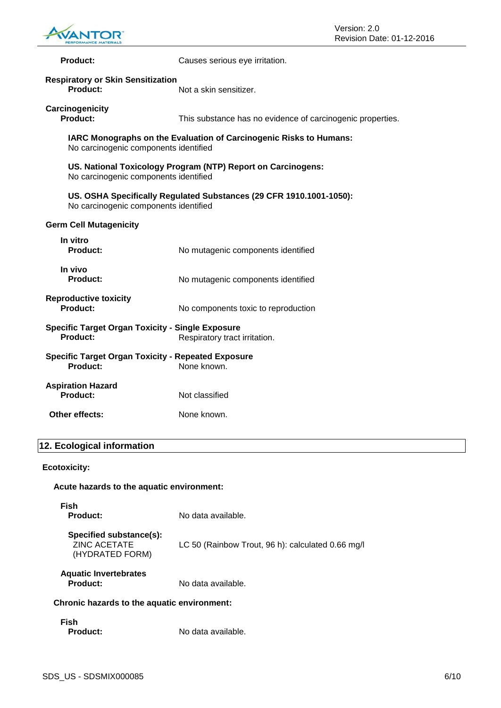

| <b>Product:</b>                                                                                              | Causes serious eye irritation.                             |
|--------------------------------------------------------------------------------------------------------------|------------------------------------------------------------|
| <b>Respiratory or Skin Sensitization</b><br>Product:                                                         | Not a skin sensitizer.                                     |
| Carcinogenicity<br><b>Product:</b>                                                                           | This substance has no evidence of carcinogenic properties. |
| IARC Monographs on the Evaluation of Carcinogenic Risks to Humans:<br>No carcinogenic components identified  |                                                            |
| US. National Toxicology Program (NTP) Report on Carcinogens:<br>No carcinogenic components identified        |                                                            |
| US. OSHA Specifically Regulated Substances (29 CFR 1910.1001-1050):<br>No carcinogenic components identified |                                                            |
| <b>Germ Cell Mutagenicity</b>                                                                                |                                                            |
| In vitro<br><b>Product:</b>                                                                                  | No mutagenic components identified                         |
| In vivo<br>Product:                                                                                          | No mutagenic components identified                         |
| <b>Reproductive toxicity</b><br>Product:                                                                     | No components toxic to reproduction                        |
| <b>Specific Target Organ Toxicity - Single Exposure</b><br>Product:                                          | Respiratory tract irritation.                              |
| <b>Specific Target Organ Toxicity - Repeated Exposure</b><br>Product:<br>None known.                         |                                                            |
| <b>Aspiration Hazard</b><br>Product:                                                                         | Not classified                                             |
| Other effects:                                                                                               | None known.                                                |

# **12. Ecological information**

# **Ecotoxicity:**

# **Acute hazards to the aquatic environment:**

| <b>Fish</b><br>Product:                                           | No data available.                                |
|-------------------------------------------------------------------|---------------------------------------------------|
| Specified substance(s):<br><b>ZINC ACETATE</b><br>(HYDRATED FORM) | LC 50 (Rainbow Trout, 96 h): calculated 0.66 mg/l |
| <b>Aquatic Invertebrates</b><br><b>Product:</b>                   | No data available.                                |
| Chronic hazards to the aquatic environment:                       |                                                   |

# **Fish**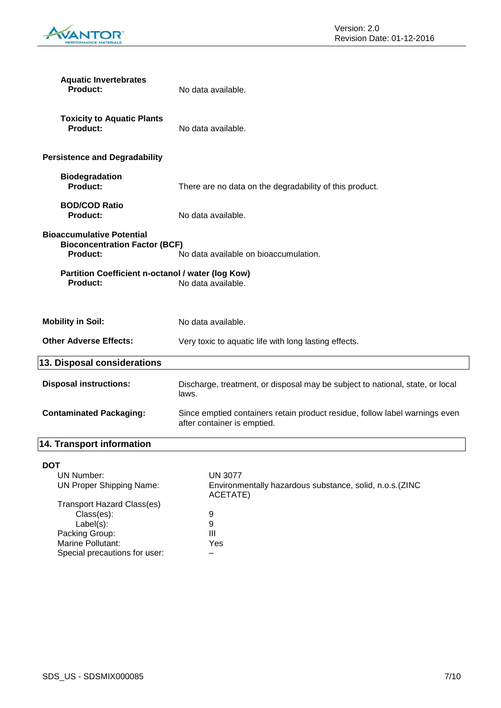

| <b>Aquatic Invertebrates</b><br><b>Product:</b>                                                                                      | No data available.                                                                                         |
|--------------------------------------------------------------------------------------------------------------------------------------|------------------------------------------------------------------------------------------------------------|
| <b>Toxicity to Aquatic Plants</b><br><b>Product:</b>                                                                                 | No data available.                                                                                         |
| <b>Persistence and Degradability</b>                                                                                                 |                                                                                                            |
| <b>Biodegradation</b><br><b>Product:</b>                                                                                             | There are no data on the degradability of this product.                                                    |
| <b>BOD/COD Ratio</b><br><b>Product:</b>                                                                                              | No data available.                                                                                         |
| <b>Bioaccumulative Potential</b><br><b>Bioconcentration Factor (BCF)</b><br><b>Product:</b>                                          | No data available on bioaccumulation.                                                                      |
| Partition Coefficient n-octanol / water (log Kow)<br><b>Product:</b>                                                                 | No data available.                                                                                         |
| <b>Mobility in Soil:</b>                                                                                                             | No data available.                                                                                         |
| <b>Other Adverse Effects:</b>                                                                                                        | Very toxic to aquatic life with long lasting effects.                                                      |
| 13. Disposal considerations                                                                                                          |                                                                                                            |
| <b>Disposal instructions:</b>                                                                                                        | Discharge, treatment, or disposal may be subject to national, state, or local<br>laws.                     |
| <b>Contaminated Packaging:</b>                                                                                                       | Since emptied containers retain product residue, follow label warnings even<br>after container is emptied. |
| 14. Transport information                                                                                                            |                                                                                                            |
| <b>DOT</b><br><b>UN Number:</b><br><b>UN Proper Shipping Name:</b>                                                                   | <b>UN 3077</b><br>Environmentally hazardous substance, solid, n.o.s. (ZINC<br>ACETATE)                     |
| <b>Transport Hazard Class(es)</b><br>Class(es):<br>Label(s):<br>Packing Group:<br>Marine Pollutant:<br>Special precautions for user: | $\boldsymbol{9}$<br>$\boldsymbol{9}$<br>III<br>Yes                                                         |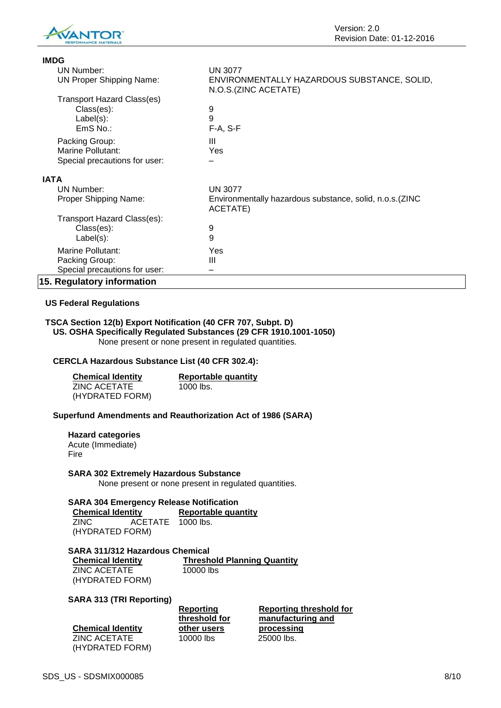

| <b>IMDG</b>                       |                                                                      |
|-----------------------------------|----------------------------------------------------------------------|
| UN Number:                        | <b>UN 3077</b>                                                       |
| <b>UN Proper Shipping Name:</b>   | ENVIRONMENTALLY HAZARDOUS SUBSTANCE, SOLID,<br>N.O.S.(ZINC ACETATE)  |
| <b>Transport Hazard Class(es)</b> |                                                                      |
| Class(es):                        | 9                                                                    |
| $Label(s)$ :                      | 9                                                                    |
| $EmS$ No.:                        | $F-A, S-F$                                                           |
| Packing Group:                    | Ш                                                                    |
| Marine Pollutant:                 | Yes                                                                  |
| Special precautions for user:     |                                                                      |
| <b>IATA</b>                       |                                                                      |
| UN Number:                        | <b>UN 3077</b>                                                       |
| Proper Shipping Name:             | Environmentally hazardous substance, solid, n.o.s. (ZINC<br>ACETATE) |
| Transport Hazard Class(es):       |                                                                      |
| Class(es):                        | 9                                                                    |
| $Label(s)$ :                      | 9                                                                    |
| Marine Pollutant:                 | Yes                                                                  |
| Packing Group:                    | Ш                                                                    |
| Special precautions for user:     |                                                                      |
| 15. Regulatory information        |                                                                      |

#### **US Federal Regulations**

# **TSCA Section 12(b) Export Notification (40 CFR 707, Subpt. D)**

**US. OSHA Specifically Regulated Substances (29 CFR 1910.1001-1050)** None present or none present in regulated quantities.

#### **CERCLA Hazardous Substance List (40 CFR 302.4):**

| <b>Chemical Identity</b> | Reportable quantity |
|--------------------------|---------------------|
| ZINC ACETATE             | 1000 lbs.           |
| (HYDRATED FORM)          |                     |

#### **Superfund Amendments and Reauthorization Act of 1986 (SARA)**

**Hazard categories** Acute (Immediate)

# Fire

**SARA 302 Extremely Hazardous Substance**

None present or none present in regulated quantities.

# **SARA 304 Emergency Release Notification**

| <b>Chemical Identity</b> |                   | <b>Reportable quantity</b> |
|--------------------------|-------------------|----------------------------|
| ZINC.                    | ACETATE 1000 lbs. |                            |
| (HYDRATED FORM)          |                   |                            |

#### **SARA 311/312 Hazardous Chemical**

ZINC ACETATE (HYDRATED FORM)

**Chemical Identity Threshold Planning Quantity** 10000 lbs

#### **SARA 313 (TRI Reporting)**

| <b>Chemical Identity</b> |
|--------------------------|
| ZINC ACETATE             |
| (HYDRATED FORM)          |

**Reporting threshold for other users** 10000 lbs 25000 lbs.

**Reporting threshold for manufacturing and processing**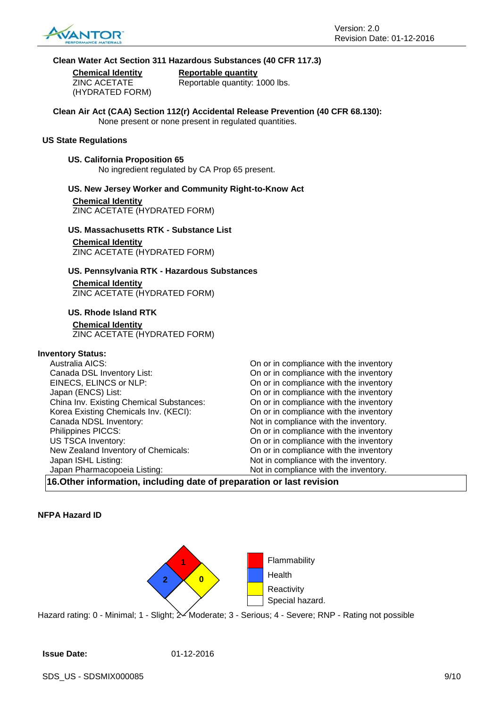

#### **Clean Water Act Section 311 Hazardous Substances (40 CFR 117.3)**

ZINC ACETATE (HYDRATED FORM)

**Chemical Identity Reportable quantity** Reportable quantity: 1000 lbs.

**Clean Air Act (CAA) Section 112(r) Accidental Release Prevention (40 CFR 68.130):** None present or none present in regulated quantities.

#### **US State Regulations**

#### **US. California Proposition 65**

No ingredient regulated by CA Prop 65 present.

# **US. New Jersey Worker and Community Right-to-Know Act Chemical Identity**

ZINC ACETATE (HYDRATED FORM)

#### **US. Massachusetts RTK - Substance List**

#### **Chemical Identity**

ZINC ACETATE (HYDRATED FORM)

#### **US. Pennsylvania RTK - Hazardous Substances**

**Chemical Identity** ZINC ACETATE (HYDRATED FORM)

#### **US. Rhode Island RTK**

**Chemical Identity** ZINC ACETATE (HYDRATED FORM)

# **Inventory Status:**

| Australia AICS:                          | On or in compliance with the inventory |
|------------------------------------------|----------------------------------------|
| Canada DSL Inventory List:               | On or in compliance with the inventory |
| EINECS, ELINCS or NLP:                   | On or in compliance with the inventory |
| Japan (ENCS) List:                       | On or in compliance with the inventory |
| China Inv. Existing Chemical Substances: | On or in compliance with the inventory |
| Korea Existing Chemicals Inv. (KECI):    | On or in compliance with the inventory |
| Canada NDSL Inventory:                   | Not in compliance with the inventory.  |
| Philippines PICCS:                       | On or in compliance with the inventory |
| US TSCA Inventory:                       | On or in compliance with the inventory |
| New Zealand Inventory of Chemicals:      | On or in compliance with the inventory |
| Japan ISHL Listing:                      | Not in compliance with the inventory.  |
| Japan Pharmacopoeia Listing:             | Not in compliance with the inventory.  |

**16.Other information, including date of preparation or last revision**

#### **NFPA Hazard ID**



Hazard rating: 0 - Minimal; 1 - Slight;  $\frac{2}{10}$ Moderate; 3 - Serious; 4 - Severe; RNP - Rating not possible

#### **Issue Date:** 01-12-2016